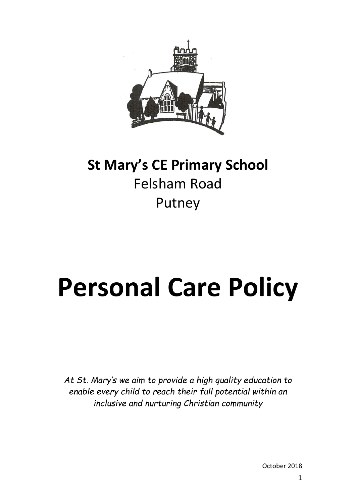

# **St Mary's CE Primary School** Felsham Road Putney

# **Personal Care Policy**

*At St. Mary's we aim to provide a high quality education to enable every child to reach their full potential within an inclusive and nurturing Christian community*

October 2018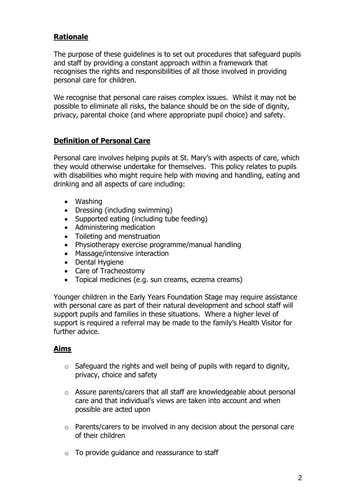# **Rationale**

The purpose of these guidelines is to set out procedures that safeguard pupils and staff by providing a constant approach within a framework that recognises the rights and responsibilities of all those involved in providing personal care for children.

We recognise that personal care raises complex issues. Whilst it may not be possible to eliminate all risks, the balance should be on the side of dignity, privacy, parental choice (and where appropriate pupil choice) and safety.

# **Definition of Personal Care**

Personal care involves helping pupils at St. Mary's with aspects of care, which they would otherwise undertake for themselves. This policy relates to pupils with disabilities who might require help with moving and handling, eating and drinking and all aspects of care including:

- Washing
- Dressing (including swimming)
- Supported eating (including tube feeding)
- Administering medication
- Toileting and menstruation
- Physiotherapy exercise programme/manual handling
- Massage/intensive interaction
- Dental Hygiene
- Care of Tracheostomy
- Topical medicines (e.g. sun creams, eczema creams)

Younger children in the Early Years Foundation Stage may require assistance with personal care as part of their natural development and school staff will support pupils and families in these situations. Where a higher level of support is required a referral may be made to the family's Health Visitor for further advice.

#### **Aims**

- $\circ$  Safeguard the rights and well being of pupils with regard to dignity, privacy, choice and safety
- o Assure parents/carers that all staff are knowledgeable about personal care and that individual's views are taken into account and when possible are acted upon
- o Parents/carers to be involved in any decision about the personal care of their children
- $\circ$  To provide quidance and reassurance to staff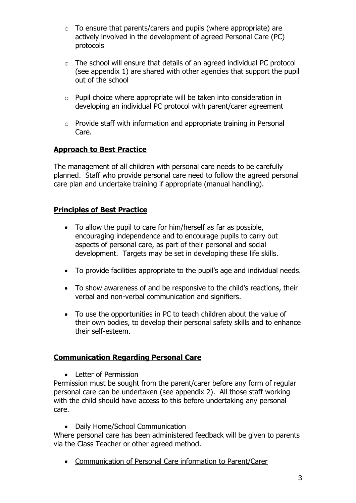- $\circ$  To ensure that parents/carers and pupils (where appropriate) are actively involved in the development of agreed Personal Care (PC) protocols
- o The school will ensure that details of an agreed individual PC protocol (see appendix 1) are shared with other agencies that support the pupil out of the school
- o Pupil choice where appropriate will be taken into consideration in developing an individual PC protocol with parent/carer agreement
- o Provide staff with information and appropriate training in Personal Care.

# **Approach to Best Practice**

The management of all children with personal care needs to be carefully planned. Staff who provide personal care need to follow the agreed personal care plan and undertake training if appropriate (manual handling).

# **Principles of Best Practice**

- To allow the pupil to care for him/herself as far as possible, encouraging independence and to encourage pupils to carry out aspects of personal care, as part of their personal and social development. Targets may be set in developing these life skills.
- To provide facilities appropriate to the pupil's age and individual needs.
- To show awareness of and be responsive to the child's reactions, their verbal and non-verbal communication and signifiers.
- To use the opportunities in PC to teach children about the value of their own bodies, to develop their personal safety skills and to enhance their self-esteem.

# **Communication Regarding Personal Care**

• Letter of Permission

Permission must be sought from the parent/carer before any form of regular personal care can be undertaken (see appendix 2). All those staff working with the child should have access to this before undertaking any personal care.

• Daily Home/School Communication

Where personal care has been administered feedback will be given to parents via the Class Teacher or other agreed method.

Communication of Personal Care information to Parent/Carer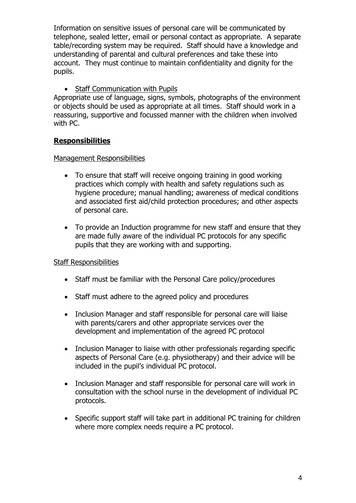Information on sensitive issues of personal care will be communicated by telephone, sealed letter, email or personal contact as appropriate. A separate table/recording system may be required. Staff should have a knowledge and understanding of parental and cultural preferences and take these into account. They must continue to maintain confidentiality and dignity for the pupils.

### • Staff Communication with Pupils

Appropriate use of language, signs, symbols, photographs of the environment or objects should be used as appropriate at all times. Staff should work in a reassuring, supportive and focussed manner with the children when involved with PC.

#### **Responsibilities**

#### Management Responsibilities

- To ensure that staff will receive ongoing training in good working practices which comply with health and safety regulations such as hygiene procedure; manual handling; awareness of medical conditions and associated first aid/child protection procedures; and other aspects of personal care.
- To provide an Induction programme for new staff and ensure that they are made fully aware of the individual PC protocols for any specific pupils that they are working with and supporting.

#### Staff Responsibilities

- Staff must be familiar with the Personal Care policy/procedures
- Staff must adhere to the agreed policy and procedures
- Inclusion Manager and staff responsible for personal care will liaise with parents/carers and other appropriate services over the development and implementation of the agreed PC protocol
- Inclusion Manager to liaise with other professionals regarding specific aspects of Personal Care (e.g. physiotherapy) and their advice will be included in the pupil's individual PC protocol.
- Inclusion Manager and staff responsible for personal care will work in consultation with the school nurse in the development of individual PC protocols.
- Specific support staff will take part in additional PC training for children where more complex needs require a PC protocol.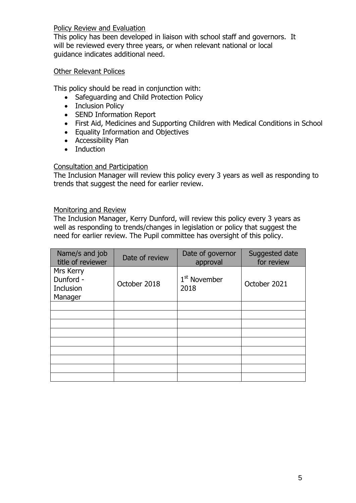Policy Review and Evaluation

This policy has been developed in liaison with school staff and governors. It will be reviewed every three years, or when relevant national or local guidance indicates additional need.

#### Other Relevant Polices

This policy should be read in conjunction with:

- Safeguarding and Child Protection Policy
- Inclusion Policy
- SEND Information Report
- First Aid, Medicines and Supporting Children with Medical Conditions in School
- Equality Information and Objectives
- Accessibility Plan
- Induction

#### Consultation and Participation

The Inclusion Manager will review this policy every 3 years as well as responding to trends that suggest the need for earlier review.

#### Monitoring and Review

The Inclusion Manager, Kerry Dunford, will review this policy every 3 years as well as responding to trends/changes in legislation or policy that suggest the need for earlier review. The Pupil committee has oversight of this policy.

| Name/s and job<br>title of reviewer            | Date of review | Date of governor<br>approval     | Suggested date<br>for review |
|------------------------------------------------|----------------|----------------------------------|------------------------------|
| Mrs Kerry<br>Dunford -<br>Inclusion<br>Manager | October 2018   | 1 <sup>st</sup> November<br>2018 | October 2021                 |
|                                                |                |                                  |                              |
|                                                |                |                                  |                              |
|                                                |                |                                  |                              |
|                                                |                |                                  |                              |
|                                                |                |                                  |                              |
|                                                |                |                                  |                              |
|                                                |                |                                  |                              |
|                                                |                |                                  |                              |
|                                                |                |                                  |                              |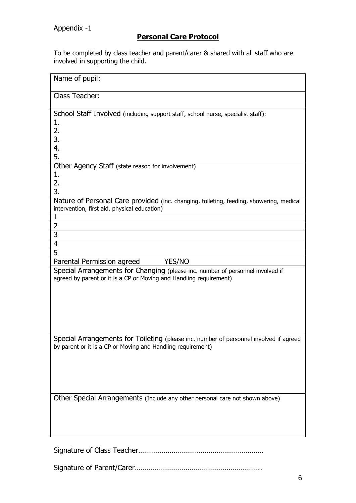# **Personal Care Protocol**

To be completed by class teacher and parent/carer & shared with all staff who are involved in supporting the child.

| Name of pupil:                                                                                                                                        |
|-------------------------------------------------------------------------------------------------------------------------------------------------------|
| <b>Class Teacher:</b>                                                                                                                                 |
| School Staff Involved (including support staff, school nurse, specialist staff):<br>1.<br>2.<br>3.<br>4.<br>5.                                        |
| Other Agency Staff (state reason for involvement)<br>1.<br>2.<br>3.                                                                                   |
| Nature of Personal Care provided (inc. changing, toileting, feeding, showering, medical<br>intervention, first aid, physical education)<br>1          |
| $\overline{2}$<br>3<br>4                                                                                                                              |
| 5<br>Parental Permission agreed<br>YES/NO                                                                                                             |
| Special Arrangements for Changing (please inc. number of personnel involved if<br>agreed by parent or it is a CP or Moving and Handling requirement)  |
| Special Arrangements for Toileting (please inc. number of personnel involved if agreed<br>by parent or it is a CP or Moving and Handling requirement) |
| Other Special Arrangements (Include any other personal care not shown above)                                                                          |
|                                                                                                                                                       |

Signature of Parent/Carer………………………………………………………..